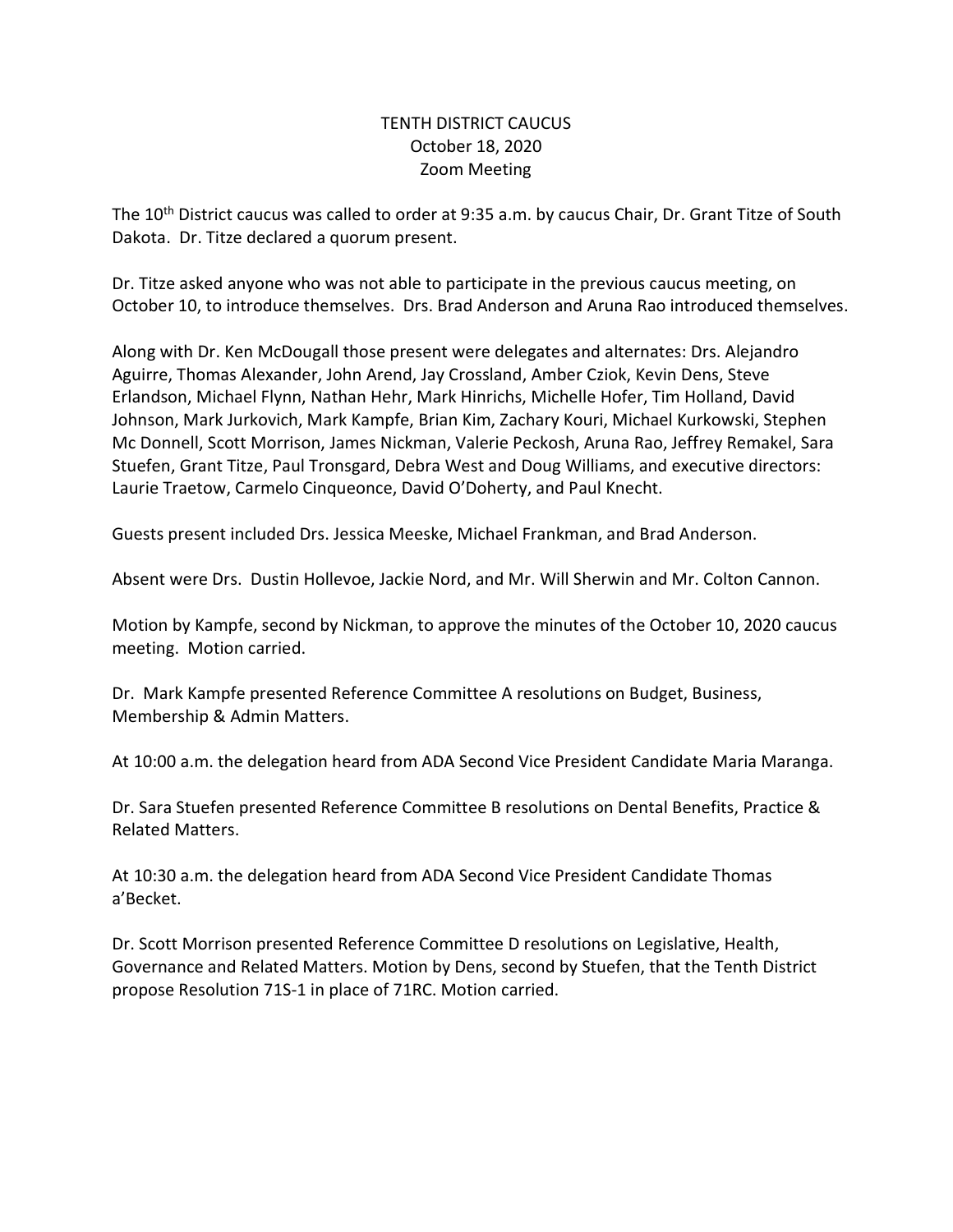## TENTH DISTRICT CAUCUS October 18, 2020 Zoom Meeting

The 10th District caucus was called to order at 9:35 a.m. by caucus Chair, Dr. Grant Titze of South Dakota. Dr. Titze declared a quorum present.

Dr. Titze asked anyone who was not able to participate in the previous caucus meeting, on October 10, to introduce themselves. Drs. Brad Anderson and Aruna Rao introduced themselves.

Along with Dr. Ken McDougall those present were delegates and alternates: Drs. Alejandro Aguirre, Thomas Alexander, John Arend, Jay Crossland, Amber Cziok, Kevin Dens, Steve Erlandson, Michael Flynn, Nathan Hehr, Mark Hinrichs, Michelle Hofer, Tim Holland, David Johnson, Mark Jurkovich, Mark Kampfe, Brian Kim, Zachary Kouri, Michael Kurkowski, Stephen Mc Donnell, Scott Morrison, James Nickman, Valerie Peckosh, Aruna Rao, Jeffrey Remakel, Sara Stuefen, Grant Titze, Paul Tronsgard, Debra West and Doug Williams, and executive directors: Laurie Traetow, Carmelo Cinqueonce, David O'Doherty, and Paul Knecht.

Guests present included Drs. Jessica Meeske, Michael Frankman, and Brad Anderson.

Absent were Drs. Dustin Hollevoe, Jackie Nord, and Mr. Will Sherwin and Mr. Colton Cannon.

Motion by Kampfe, second by Nickman, to approve the minutes of the October 10, 2020 caucus meeting. Motion carried.

Dr. Mark Kampfe presented Reference Committee A resolutions on Budget, Business, Membership & Admin Matters.

At 10:00 a.m. the delegation heard from ADA Second Vice President Candidate Maria Maranga.

Dr. Sara Stuefen presented Reference Committee B resolutions on Dental Benefits, Practice & Related Matters.

At 10:30 a.m. the delegation heard from ADA Second Vice President Candidate Thomas a'Becket.

Dr. Scott Morrison presented Reference Committee D resolutions on Legislative, Health, Governance and Related Matters. Motion by Dens, second by Stuefen, that the Tenth District propose Resolution 71S-1 in place of 71RC. Motion carried.